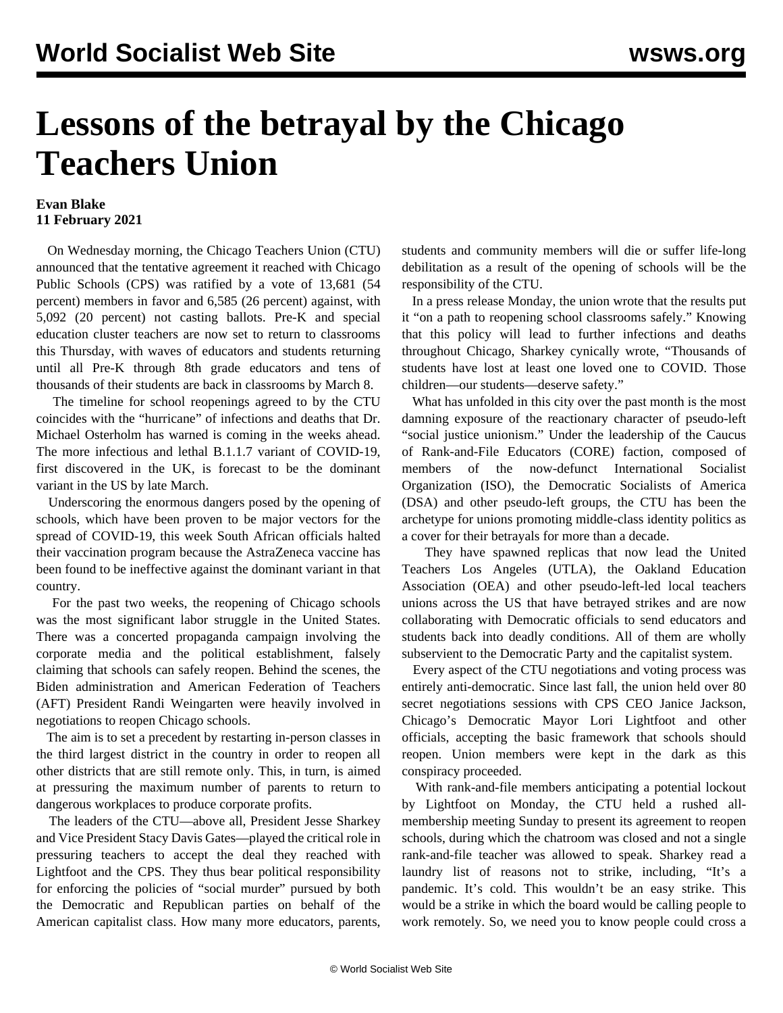## **Lessons of the betrayal by the Chicago Teachers Union**

## **Evan Blake 11 February 2021**

 On Wednesday morning, the Chicago Teachers Union (CTU) announced that the tentative agreement it reached with Chicago Public Schools (CPS) was ratified by a vote of 13,681 (54 percent) members in favor and 6,585 (26 percent) against, with 5,092 (20 percent) not casting ballots. Pre-K and special education cluster teachers are now set to return to classrooms this Thursday, with waves of educators and students returning until all Pre-K through 8th grade educators and tens of thousands of their students are back in classrooms by March 8.

 The timeline for school reopenings agreed to by the CTU coincides with the ["hurricane](/en/articles/2021/02/09/pand-f09.html)" of infections and deaths that Dr. Michael Osterholm has warned is coming in the weeks ahead. The more infectious and lethal B.1.1.7 variant of COVID-19, first discovered in the UK, is [forecast to be the dominant](/en/articles/2021/02/08/mana-f08.html) [variant](/en/articles/2021/02/08/mana-f08.html) in the US by late March.

 Underscoring the enormous dangers posed by the opening of schools, which [have been proven](/en/articles/2021/02/01/cdc1-f01.html) to be [major vectors](/en/articles/2021/02/02/cdc2-f02.html) for the [spread](/en/articles/2021/01/20/scho-j20.html) of [COVID-19](/en/articles/2021/01/21/scho-j21.html), this week South African officials halted their vaccination program because the AstraZeneca vaccine has been found to be ineffective against the dominant variant in that country.

 For the past two weeks, the reopening of Chicago schools was the most significant labor struggle in the United States. There was a [concerted propaganda campaign](/en/articles/2021/02/03/pers-f03.html) involving the corporate media and the political establishment, falsely claiming that schools can safely reopen. Behind the scenes, the Biden administration and American Federation of Teachers (AFT) President Randi Weingarten were heavily involved in negotiations to reopen Chicago schools.

 The aim is to set a precedent by restarting in-person classes in the third largest district in the country in order to reopen all other districts that are still remote only. This, in turn, is aimed at pressuring the maximum number of parents to return to dangerous workplaces to produce corporate profits.

 The leaders of the CTU—above all, President Jesse Sharkey and Vice President Stacy Davis Gates—played the critical role in pressuring teachers to accept the deal they reached with Lightfoot and the CPS. They thus bear political responsibility for enforcing the policies of "[social murder"](/en/articles/2021/02/08/pers-f08.html) pursued by both the Democratic and Republican parties on behalf of the American capitalist class. How many more educators, parents, students and community members will die or [suffer life-long](/en/articles/2021/02/09/kidc-f09.html) [debilitation](/en/articles/2021/02/09/kidc-f09.html) as a result of the opening of schools will be the responsibility of the CTU.

 In a press release Monday, the union wrote that the results put it "on a path to reopening school classrooms safely." Knowing that this policy will lead to further infections and deaths throughout Chicago, Sharkey cynically wrote, "Thousands of students have lost at least one loved one to COVID. Those children—our students—deserve safety."

 What has unfolded in this city over the past month is the most damning exposure of the reactionary character of pseudo-left "social justice unionism." Under the leadership of the Caucus of Rank-and-File Educators (CORE) faction, composed of members of the now-defunct [International Socialist](/en/articles/2019/04/02/inte-a02.html) [Organization](/en/articles/2019/04/02/inte-a02.html) (ISO), the [Democratic Socialists of America](/en/topics/internationalPoliticsCategory/jacobin-democratic-socialists-america) (DSA) and other pseudo-left groups, the CTU has been the archetype for unions promoting middle-class identity politics as a cover for their betrayals for more than a decade.

 They have spawned replicas that now lead the [United](/en/articles/2019/01/24/sell-j24.html) [Teachers Los Angeles](/en/articles/2019/01/24/sell-j24.html) (UTLA), the [Oakland Education](/en/articles/2019/03/04/lead-m04.html) [Association](/en/articles/2019/03/04/lead-m04.html) (OEA) and other pseudo-left-led local teachers unions across the US that have [betrayed strikes](/en/articles/2019/11/05/chic-n05.html) and are now [collaborating with Democratic officials](/en/articles/2021/01/21/bost-j21.html) to send educators and students back into deadly conditions. All of them are [wholly](/en/articles/2020/12/16/teac-d16.html) [subservient to the Democratic Party](/en/articles/2020/12/16/teac-d16.html) and the capitalist system.

 Every aspect of the CTU negotiations and voting process was [entirely anti-democratic.](/en/articles/2021/02/10/educ-f10-1.html) Since last fall, the union held over 80 secret negotiations sessions with CPS CEO Janice Jackson, Chicago's Democratic Mayor Lori Lightfoot and other officials, accepting the basic framework that schools should reopen. Union members were kept in the dark as this conspiracy proceeded.

 With rank-and-file members anticipating a potential lockout by Lightfoot on Monday, the CTU held a [rushed all](/en/articles/2021/02/08/chgo-f08.html)[membership meeting](/en/articles/2021/02/08/chgo-f08.html) Sunday to present its agreement to reopen schools, during which the chatroom was closed and not a single rank-and-file teacher was allowed to speak. Sharkey read a laundry list of reasons not to strike, including, "It's a pandemic. It's cold. This wouldn't be an easy strike. This would be a strike in which the board would be calling people to work remotely. So, we need you to know people could cross a